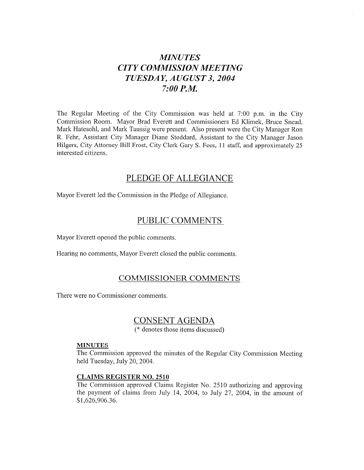# *MINUTES CITY COMMISSION MEETING TUESDAY, AUGUST 3,2004*  **7:OO** *P.M.*

The Regular Meeting of the City Commission was held at 7:00 p.m. in the City Commission Room. Mayor Brad Everett and Commissioners Ed Klimek, Bruce Snead, Mark Hatesohl, and Mark Taussig were present. Also present were the City Manager Ron R. Fehr, Assistant City Manager Diane Stoddard, Assistant to the City Manager Jason Hilgers, City Attorney Bill Frost, City Clerk Gary S. Fees, 11 staff, and approximately 25 interested citizens.

### PLEDGE OF ALLEGIANCE

Mayor Everett led the Commission in the Pledge of Allegiance.

### PUBLIC COMMENTS

Mayor Everett opened the public comments.

Hearing no comments, Mayor Everett closed the public comments.

# COMMISSIONER COMMENTS

There were no Commissioner comments.

# CONSENT AGENDA

(\* denotes those items discussed)

#### **MINUTES**

The Commission approved the minutes of the Regular City Commission Meeting held Tuesday, July 20,2004.

### **CLAIMS** REGISTER NO. 2510

The Commission approved Claims Register No. 2510 authorizing and approving the payment of claims from July 14, 2004, to July 27, 2004, in the amount of \$1,626,906.36.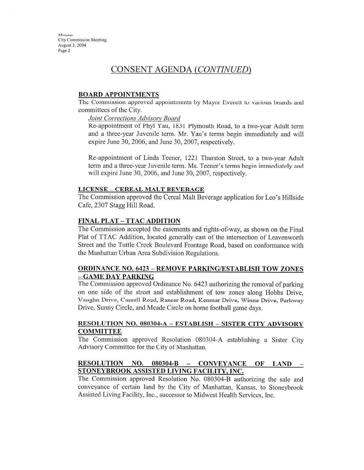Minutes City Commission Meeting **August 3,** 2004 Page *2* 

# CONSENT AGENDA *(CONTINUED)*

#### **BOARD APPOINTMENTS**

The Commission approved appointments by Mayor Everett to various boards and committees of the City.

*Jomt Corrections Advisorv Board* 

Re-appointment of Phyl Yau, 1831 Plymouth Road, to a two-year Adult term and a three-year Juvenile term. Mr. Yau's terms begin immediately and will expire June 30,2006, and June 30,2007, respectively.

Re-appointment of Linda Teener, 1221 Thurston Street, to a two-year Adult term and a three-year Juvenile term. Ms. Teener's terms begin immediately and will expire June 30, 2006, and June 30, 2007, respectively.

#### **LICENSE - CEREAL MALT BEVERAGE**

The Commission approved the Cereal Malt Beverage application for Leo's Hillside Cafe, 2307 Stagg Hill Road.

#### **FINAL PLAT** - **TTAC ADDITION**

The Commission accepted the easements and rights-of-way, as shown on the Final Plat of TTAC Addition, located generally east of the intersection of Leavenworth Street and the Tuttle Creek Boulevard Frontage Road, based on conformance with the Manhattan Urban Area Subdivision Regulations.

### **ORDINANCE NO. 6423** - **REMOVE PARKINGIESTABLISH TOW ZONES**  - **GAME DAY PARKING**

The Commission approved Ordinance No. 6423 authorizing the removal of parking on one side of the street and establishment of tow zones along Hobbs Drive, Vaughn Drive, Cassell Road, Ranser Road, Kenmar Drive, Winne Drive, Parkway Drive, Sunny Circle, and Meade Circle on home football game days.

### **RESOLUTION NO. 080304-A** - **ESTABLISH** - **SISTER CITY ADVISORY COMMITTEE**

The Commission approved Resolution 080304-A establishing a Sister City Advisory Committee for the City of Manhattan.

#### **RESOLUTION NO. 080304-B** - **CONVEYANCE OF LAND** - **STONEYBROOK ASSISTED LIVING FACILITY, INC.**

The Commission approved Resolution No. 080304-B authorizing the sale and conveyance of certain land by the City of Manhattan, Kansas, to Stoneybrook Assisted Living Facility, Inc., successor to Midwest Health Services, Inc.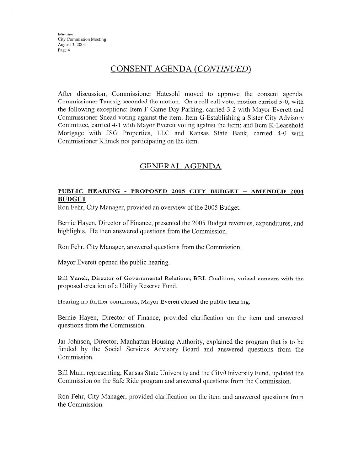### CONSENT AGENDA *(CONTINUEID)*

After discussion, Commissioner Hatesohl moved to approve the consent agenda. Commissioner Taussig seconded the motion. On a roll call votc, motion carricd 5-0, with the following exceptions: Item F-Game Day Parking, carried 3-2 with Mayor Everett and Commissioner Snead voting against the item; Item G-Establishing a Sister City Advisory Committee, carried 4-1 with Mayor Everett voting against the item; and Item K-Leasehold Mortgage with JSG Properties, LLC and Kansas State Bank, carried 4-0 with Commissioner Klimek not participating on the item.

# **GENERAL** AGENDA

### **PUBLIC HEARING** - **PROPOSED 2005 CITY BUDGET** - **AMENDED 2004 BUDGET**

Ron Fehr, City Manager, provided an overview of the 2005 Budget.

Bernie Hayen, Director of Finance, presented the 2005 Budget revenues, expenditures, and highlights. He then answered questions from the Commission.

Ron Fehr, City Manager, answered questions from the Commission.

Mayor Everett opened the public hearing.

Bill Yanek, Director of Governmental Relations, BRL Coalition, voiced concern with the proposed creation of a Utility Reserve Fund.

Hearing no further comments, Mayor Everett closed the public hearing.

Bernie Hayen, Director of Finance, provided clarification on the item and answered questions from the Commission.

Jai Johnson, Director, Manlmttan Housing Authority, explained the program that is to be funded by the Social Services Advisory Board and answered questions from the Commission.

Bill Muir, representing, Kansas State University and the City/University Fund, updated the Commission on the Safe Ride program and answered questions from the Commission.

Ron Fehr, City Manager, provided clarification on the item and answered questions from the Commission.